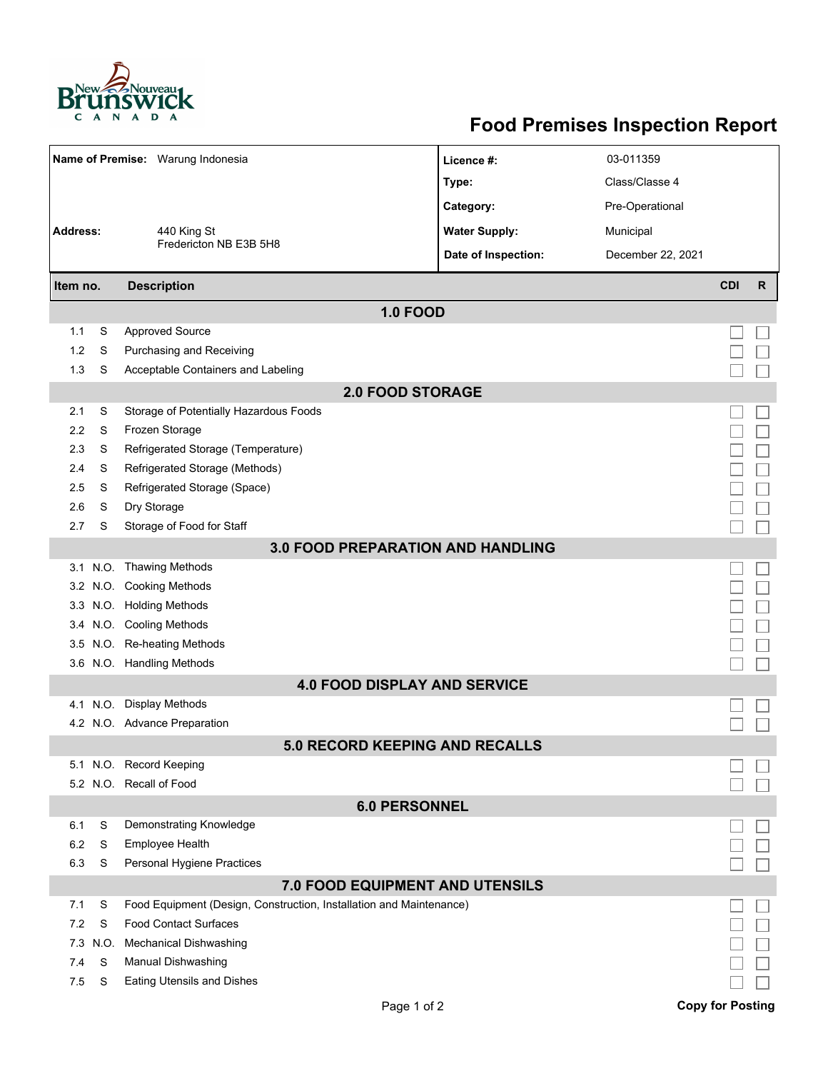

## **Food Premises Inspection Report**

| Name of Premise: Warung Indonesia        |      |                                                                     | Licence #:           | 03-011359         |                         |              |  |  |  |  |
|------------------------------------------|------|---------------------------------------------------------------------|----------------------|-------------------|-------------------------|--------------|--|--|--|--|
|                                          |      |                                                                     | Type:                | Class/Classe 4    |                         |              |  |  |  |  |
|                                          |      |                                                                     | Category:            | Pre-Operational   |                         |              |  |  |  |  |
| <b>Address:</b>                          |      | 440 King St<br>Fredericton NB E3B 5H8                               | <b>Water Supply:</b> | Municipal         |                         |              |  |  |  |  |
|                                          |      |                                                                     | Date of Inspection:  | December 22, 2021 |                         |              |  |  |  |  |
|                                          |      | <b>Description</b>                                                  |                      |                   | <b>CDI</b>              | $\mathsf{R}$ |  |  |  |  |
| Item no.                                 |      |                                                                     |                      |                   |                         |              |  |  |  |  |
|                                          |      | <b>1.0 FOOD</b>                                                     |                      |                   |                         |              |  |  |  |  |
| 1.1                                      | S    | <b>Approved Source</b>                                              |                      |                   |                         |              |  |  |  |  |
| 1.2                                      | S    | Purchasing and Receiving                                            |                      |                   |                         |              |  |  |  |  |
| 1.3                                      | S    | Acceptable Containers and Labeling                                  |                      |                   |                         |              |  |  |  |  |
| <b>2.0 FOOD STORAGE</b>                  |      |                                                                     |                      |                   |                         |              |  |  |  |  |
| 2.1                                      | S    | Storage of Potentially Hazardous Foods                              |                      |                   |                         |              |  |  |  |  |
| 2.2                                      | S    | Frozen Storage                                                      |                      |                   |                         |              |  |  |  |  |
| 2.3                                      | S    | Refrigerated Storage (Temperature)                                  |                      |                   |                         |              |  |  |  |  |
| 2.4                                      | S    | Refrigerated Storage (Methods)                                      |                      |                   |                         |              |  |  |  |  |
| 2.5                                      | S    | Refrigerated Storage (Space)                                        |                      |                   |                         |              |  |  |  |  |
| 2.6                                      | S    | Dry Storage                                                         |                      |                   |                         |              |  |  |  |  |
| 2.7                                      | S    | Storage of Food for Staff                                           |                      |                   |                         |              |  |  |  |  |
| <b>3.0 FOOD PREPARATION AND HANDLING</b> |      |                                                                     |                      |                   |                         |              |  |  |  |  |
|                                          |      | 3.1 N.O. Thawing Methods                                            |                      |                   |                         |              |  |  |  |  |
|                                          |      | 3.2 N.O. Cooking Methods                                            |                      |                   |                         |              |  |  |  |  |
|                                          |      | 3.3 N.O. Holding Methods                                            |                      |                   |                         |              |  |  |  |  |
|                                          |      | 3.4 N.O. Cooling Methods                                            |                      |                   |                         |              |  |  |  |  |
| 3.5                                      |      | N.O. Re-heating Methods                                             |                      |                   |                         |              |  |  |  |  |
|                                          |      | 3.6 N.O. Handling Methods                                           |                      |                   |                         |              |  |  |  |  |
|                                          |      | <b>4.0 FOOD DISPLAY AND SERVICE</b>                                 |                      |                   |                         |              |  |  |  |  |
| 4.1                                      | N.O. | <b>Display Methods</b>                                              |                      |                   |                         |              |  |  |  |  |
|                                          |      | 4.2 N.O. Advance Preparation                                        |                      |                   |                         |              |  |  |  |  |
|                                          |      | <b>5.0 RECORD KEEPING AND RECALLS</b>                               |                      |                   |                         |              |  |  |  |  |
|                                          |      | 5.1 N.O. Record Keeping                                             |                      |                   |                         |              |  |  |  |  |
|                                          |      | 5.2 N.O. Recall of Food                                             |                      |                   |                         |              |  |  |  |  |
|                                          |      | <b>6.0 PERSONNEL</b>                                                |                      |                   |                         |              |  |  |  |  |
| 6.1                                      | S    | Demonstrating Knowledge                                             |                      |                   |                         |              |  |  |  |  |
| 6.2                                      | S    | <b>Employee Health</b>                                              |                      |                   |                         |              |  |  |  |  |
| 6.3                                      | S    | Personal Hygiene Practices                                          |                      |                   |                         |              |  |  |  |  |
|                                          |      | 7.0 FOOD EQUIPMENT AND UTENSILS                                     |                      |                   |                         |              |  |  |  |  |
| 7.1                                      | S    | Food Equipment (Design, Construction, Installation and Maintenance) |                      |                   |                         |              |  |  |  |  |
| 7.2                                      | S    | <b>Food Contact Surfaces</b>                                        |                      |                   |                         |              |  |  |  |  |
| 7.3                                      | N.O. | <b>Mechanical Dishwashing</b>                                       |                      |                   |                         |              |  |  |  |  |
| 7.4                                      | S    | Manual Dishwashing                                                  |                      |                   |                         |              |  |  |  |  |
| 7.5                                      | S    | Eating Utensils and Dishes                                          |                      |                   |                         |              |  |  |  |  |
|                                          |      | Page 1 of 2                                                         |                      |                   | <b>Copy for Posting</b> |              |  |  |  |  |